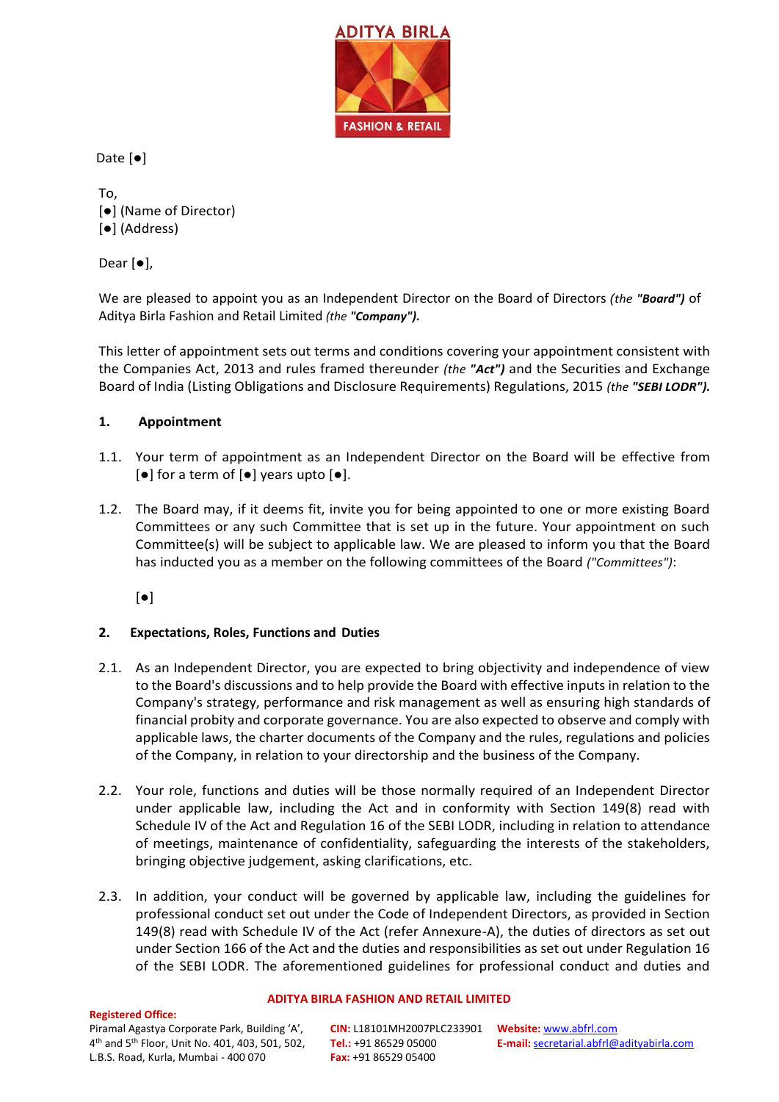

Date [●]

To, [●] (Name of Director) [●] (Address)

Dear [●],

We are pleased to appoint you as an Independent Director on the Board of Directors *(the "Board")* of Aditya Birla Fashion and Retail Limited *(the "Company").*

This letter of appointment sets out terms and conditions covering your appointment consistent with the Companies Act, 2013 and rules framed thereunder *(the "Act")* and the Securities and Exchange Board of India (Listing Obligations and Disclosure Requirements) Regulations, 2015 *(the "SEBI LODR").*

## **1. Appointment**

- 1.1. Your term of appointment as an Independent Director on the Board will be effective from [●] for a term of [●] years upto [●].
- 1.2. The Board may, if it deems fit, invite you for being appointed to one or more existing Board Committees or any such Committee that is set up in the future. Your appointment on such Committee(s) will be subject to applicable law. We are pleased to inform you that the Board has inducted you as a member on the following committees of the Board *("Committees")*:

[●]

# **2. Expectations, Roles, Functions and Duties**

- 2.1. As an Independent Director, you are expected to bring objectivity and independence of view to the Board's discussions and to help provide the Board with effective inputs in relation to the Company's strategy, performance and risk management as well as ensuring high standards of financial probity and corporate governance. You are also expected to observe and comply with applicable laws, the charter documents of the Company and the rules, regulations and policies of the Company, in relation to your directorship and the business of the Company.
- 2.2. Your role, functions and duties will be those normally required of an Independent Director under applicable law, including the Act and in conformity with Section 149(8) read with Schedule IV of the Act and Regulation 16 of the SEBI LODR, including in relation to attendance of meetings, maintenance of confidentiality, safeguarding the interests of the stakeholders, bringing objective judgement, asking clarifications, etc.
- 2.3. In addition, your conduct will be governed by applicable law, including the guidelines for professional conduct set out under the Code of Independent Directors, as provided in Section 149(8) read with Schedule IV of the Act (refer Annexure-A), the duties of directors as set out under Section 166 of the Act and the duties and responsibilities as set out under Regulation 16 of the SEBI LODR. The aforementioned guidelines for professional conduct and duties and

#### **Registered Office:**

### **ADITYA BIRLA FASHION AND RETAIL LIMITED**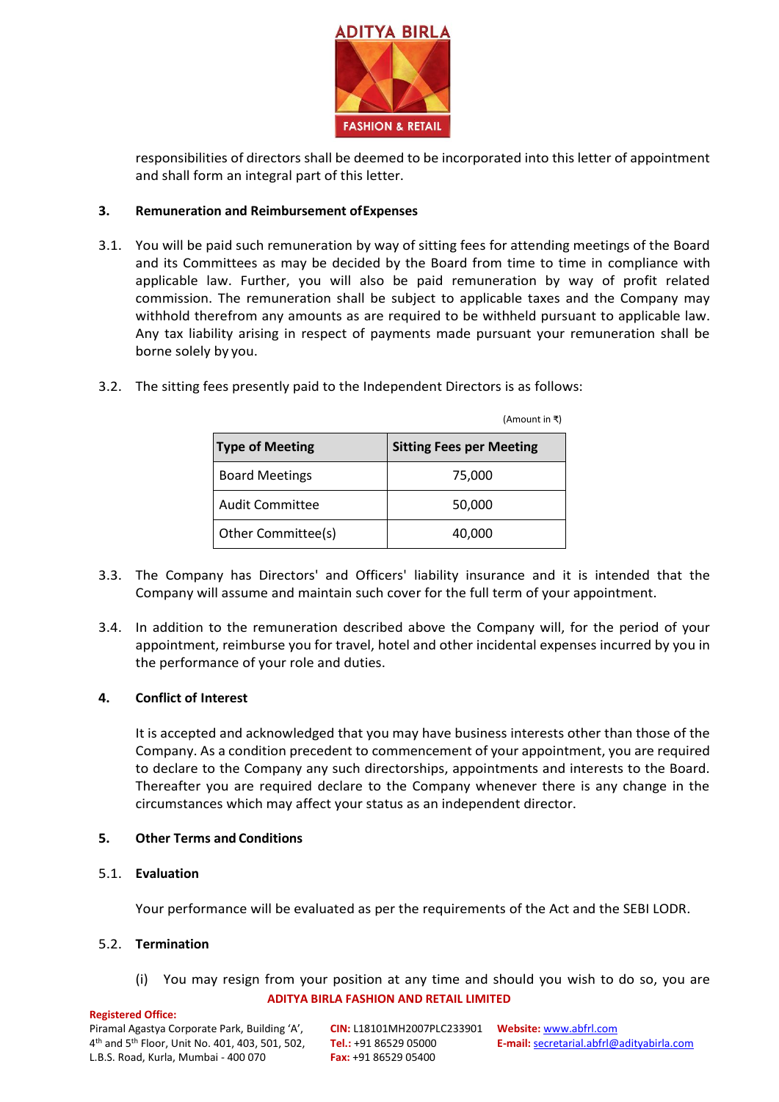

responsibilities of directors shall be deemed to be incorporated into this letter of appointment and shall form an integral part of this letter.

### **3. Remuneration and Reimbursement ofExpenses**

3.1. You will be paid such remuneration by way of sitting fees for attending meetings of the Board and its Committees as may be decided by the Board from time to time in compliance with applicable law. Further, you will also be paid remuneration by way of profit related commission. The remuneration shall be subject to applicable taxes and the Company may withhold therefrom any amounts as are required to be withheld pursuant to applicable law. Any tax liability arising in respect of payments made pursuant your remuneration shall be borne solely by you.

|                        | (Amount in ₹)                   |
|------------------------|---------------------------------|
| <b>Type of Meeting</b> | <b>Sitting Fees per Meeting</b> |
| <b>Board Meetings</b>  | 75,000                          |
| <b>Audit Committee</b> | 50,000                          |
| Other Committee(s)     | 40,000                          |

3.2. The sitting fees presently paid to the Independent Directors is as follows:

- 3.3. The Company has Directors' and Officers' liability insurance and it is intended that the Company will assume and maintain such cover for the full term of your appointment.
- 3.4. In addition to the remuneration described above the Company will, for the period of your appointment, reimburse you for travel, hotel and other incidental expenses incurred by you in the performance of your role and duties.

## **4. Conflict of Interest**

It is accepted and acknowledged that you may have business interests other than those of the Company. As a condition precedent to commencement of your appointment, you are required to declare to the Company any such directorships, appointments and interests to the Board. Thereafter you are required declare to the Company whenever there is any change in the circumstances which may affect your status as an independent director.

### **5. Other Terms and Conditions**

5.1. **Evaluation**

Your performance will be evaluated as per the requirements of the Act and the SEBI LODR.

#### 5.2. **Termination**

**ADITYA BIRLA FASHION AND RETAIL LIMITED** (i) You may resign from your position at any time and should you wish to do so, you are

#### **Registered Office:**

Piramal Agastya Corporate Park, Building 'A', 4 th and 5th Floor, Unit No. 401, 403, 501, 502, L.B.S. Road, Kurla, Mumbai - 400 070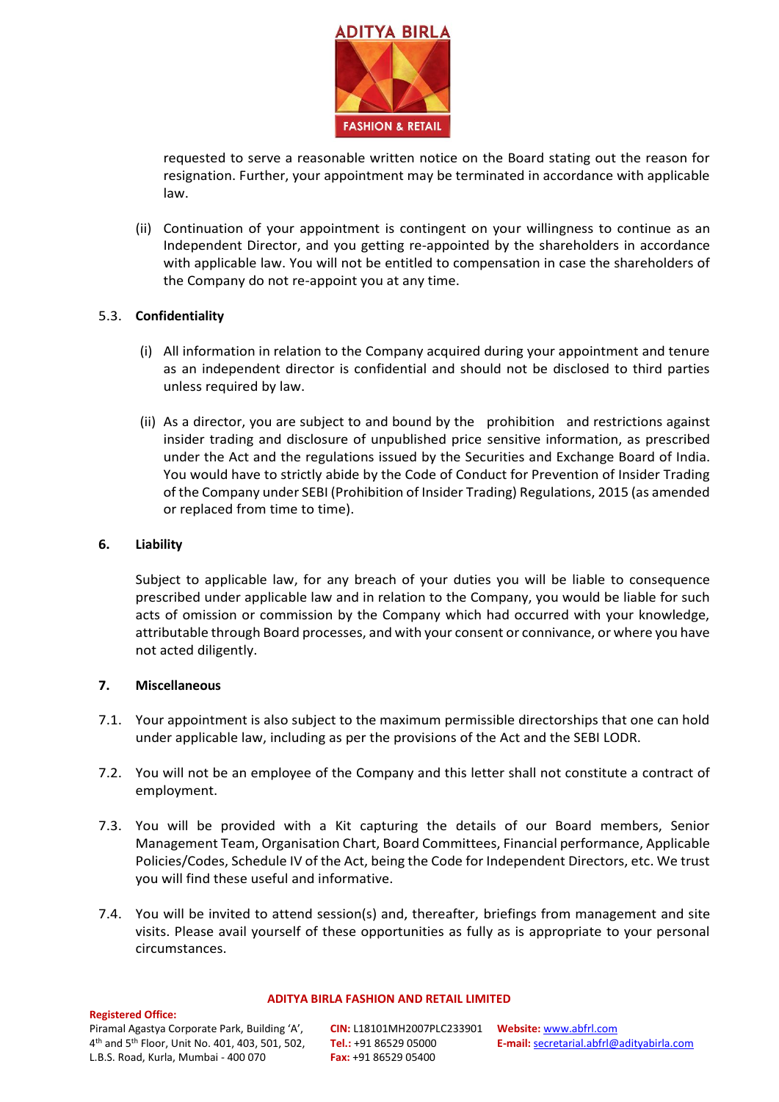

requested to serve a reasonable written notice on the Board stating out the reason for resignation. Further, your appointment may be terminated in accordance with applicable law.

(ii) Continuation of your appointment is contingent on your willingness to continue as an Independent Director, and you getting re-appointed by the shareholders in accordance with applicable law. You will not be entitled to compensation in case the shareholders of the Company do not re-appoint you at any time.

### 5.3. **Confidentiality**

- (i) All information in relation to the Company acquired during your appointment and tenure as an independent director is confidential and should not be disclosed to third parties unless required by law.
- (ii) As a director, you are subject to and bound by the prohibition and restrictions against insider trading and disclosure of unpublished price sensitive information, as prescribed under the Act and the regulations issued by the Securities and Exchange Board of India. You would have to strictly abide by the Code of Conduct for Prevention of Insider Trading of the Company under SEBI (Prohibition of Insider Trading) Regulations, 2015 (as amended or replaced from time to time).

### **6. Liability**

Subject to applicable law, for any breach of your duties you will be liable to consequence prescribed under applicable law and in relation to the Company, you would be liable for such acts of omission or commission by the Company which had occurred with your knowledge, attributable through Board processes, and with your consent or connivance, or where you have not acted diligently.

## **7. Miscellaneous**

- 7.1. Your appointment is also subject to the maximum permissible directorships that one can hold under applicable law, including as per the provisions of the Act and the SEBI LODR.
- 7.2. You will not be an employee of the Company and this letter shall not constitute a contract of employment.
- 7.3. You will be provided with a Kit capturing the details of our Board members, Senior Management Team, Organisation Chart, Board Committees, Financial performance, Applicable Policies/Codes, Schedule IV of the Act, being the Code for Independent Directors, etc. We trust you will find these useful and informative.
- 7.4. You will be invited to attend session(s) and, thereafter, briefings from management and site visits. Please avail yourself of these opportunities as fully as is appropriate to your personal circumstances.

#### **ADITYA BIRLA FASHION AND RETAIL LIMITED**

#### **Registered Office:**